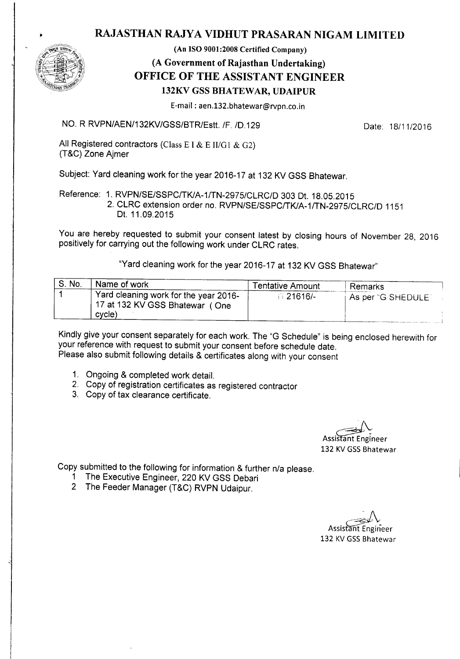## RAJASTHAN RAJYA VIDHUT PRASARAN NIGAM LIMITED



(An ISO 9001:2008 Certified Company)

## (A Government of Rajasthan Undertaking) OFFICE OF THE ASSISTANT ENGINEER 132KV GSS BHATEWAR, UDAIPUR

E-mail: aen.132.bhatewar@rvpn.co.in

NO. R RVPN/AEN/132KV/GSS/BTR/Estt. *IF. 10.129* Date: *18/11/2016*

All Registered contractors (Class E I & E II/G1 & G2) (T&C) Zone Ajmer

Subject: Yard cleaning work for the year 2016-17 at 132 KV GSS Bhatewar.

Reference: 1. RVPN/SE/SSPCITKlA-1ITN-2975/CLRC/0 303 Ot. 18.05.2015 2. CLRC extension order no. RVPN/SE/SSPCITKlA-1ITN-2975/CLRC/0 1151 Ot. 11.09.2015

You are hereby requested to submit your consent latest by closing hours of November 28, 2016 positively for carrying out the following work under CLRC rates.

"Yard cleaning work for the year 2016-17 at 132 KV GSS Bhatewar"

| S. No. | Name of work                                                            | <b>Tentative Amount</b> | Remarks            |
|--------|-------------------------------------------------------------------------|-------------------------|--------------------|
|        | Yard cleaning work for the year 2016-<br>17 at 132 KV GSS Bhatewar (One | □ 21616/-               | As per "G SHEDULE" |
|        | cycle)                                                                  |                         |                    |

Kindly give your consent separately for each work. The "G Schedule" is being enclosed herewith for your reference with request to submit your consent before schedule date. Please also submit following details & certificates along with your consent

- 1. Ongoing & completed work detail.
- 2. Copy of registration certificates as registered contractor
- 3. Copy of tax clearance certificate.

*~\_J.~* Assistant Engineer 132 KV GSS Bhatewar

Copy submitted to the following for information & further n/a please.

- 1 The Executive Engineer, 220 KV GSS Oebari
- 2 The Feeder Manager (T&C) RVPN Udaipur.

Assistant Engineer 132 KV GSS Bhatewar